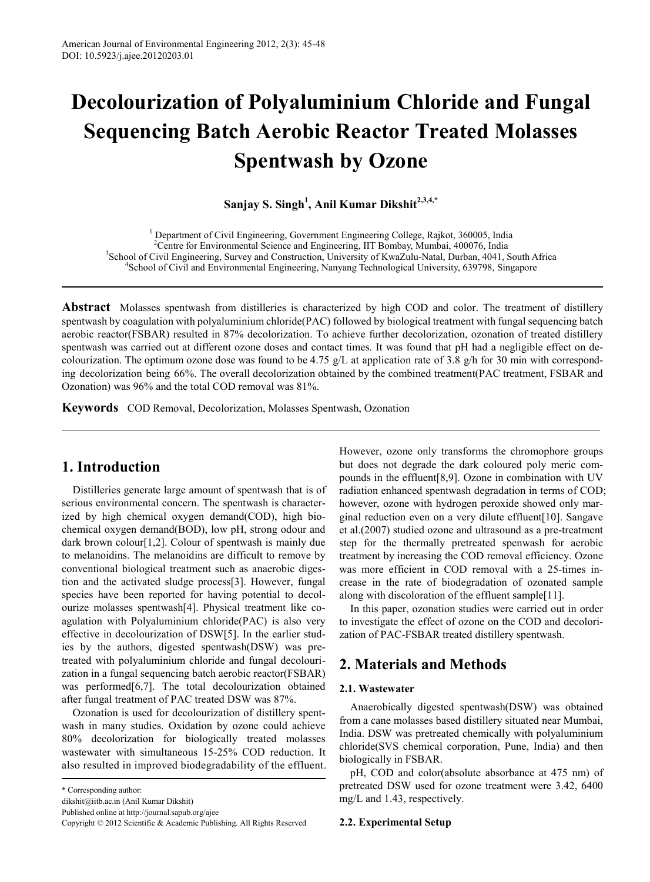# **Decolourization of Polyaluminium Chloride and Fungal Sequencing Batch Aerobic Reactor Treated Molasses Spentwash by Ozone**

**Sanjay S. Singh1 , Anil Kumar Dikshit2,3,4,\***

<sup>1</sup> Department of Civil Engineering, Government Engineering College, Rajkot, 360005, India <sup>2</sup>Centre for Environmental Science and Engineering, IIT Bombay, Mumbai, 400076, India <sup>3</sup>School of Civil Engineering, Survey and Construction, University of KwaZulu-Natal, Durban, 4041, South Africa <sup>4</sup>School of Civil and Environmental Engineering, Nanyang Technological University, 639798, Singapore

**Abstract** Molasses spentwash from distilleries is characterized by high COD and color. The treatment of distillery spentwash by coagulation with polyaluminium chloride(PAC) followed by biological treatment with fungal sequencing batch aerobic reactor(FSBAR) resulted in 87% decolorization. To achieve further decolorization, ozonation of treated distillery spentwash was carried out at different ozone doses and contact times. It was found that pH had a negligible effect on decolourization. The optimum ozone dose was found to be 4.75 g/L at application rate of 3.8 g/h for 30 min with corresponding decolorization being 66%. The overall decolorization obtained by the combined treatment(PAC treatment, FSBAR and Ozonation) was 96% and the total COD removal was 81%.

**Keywords** COD Removal, Decolorization, Molasses Spentwash, Ozonation

## **1. Introduction**

Distilleries generate large amount of spentwash that is of serious environmental concern. The spentwash is characterized by high chemical oxygen demand(COD), high biochemical oxygen demand(BOD), low pH, strong odour and dark brown colour[1,2]. Colour of spentwash is mainly due to melanoidins. The melanoidins are difficult to remove by conventional biological treatment such as anaerobic digestion and the activated sludge process[3]. However, fungal species have been reported for having potential to decolourize molasses spentwash[4]. Physical treatment like coagulation with Polyaluminium chloride(PAC) is also very effective in decolourization of DSW[5]. In the earlier studies by the authors, digested spentwash(DSW) was pretreated with polyaluminium chloride and fungal decolourization in a fungal sequencing batch aerobic reactor(FSBAR) was performed<sup>[6,7]</sup>. The total decolourization obtained after fungal treatment of PAC treated DSW was 87%.

Ozonation is used for decolourization of distillery spentwash in many studies. Oxidation by ozone could achieve 80% decolorization for biologically treated molasses wastewater with simultaneous 15-25% COD reduction. It also resulted in improved biodegradability of the effluent.

\* Corresponding author:

dikshit@iitb.ac.in (Anil Kumar Dikshit)

However, ozone only transforms the chromophore groups but does not degrade the dark coloured poly meric compounds in the effluent[8,9]. Ozone in combination with UV radiation enhanced spentwash degradation in terms of COD; however, ozone with hydrogen peroxide showed only marginal reduction even on a very dilute effluent[10]. Sangave et al.(2007) studied ozone and ultrasound as a pre-treatment step for the thermally pretreated spenwash for aerobic treatment by increasing the COD removal efficiency. Ozone was more efficient in COD removal with a 25-times increase in the rate of biodegradation of ozonated sample along with discoloration of the effluent sample[11].

In this paper, ozonation studies were carried out in order to investigate the effect of ozone on the COD and decolorization of PAC-FSBAR treated distillery spentwash.

## **2. Materials and Methods**

## **2.1. Wastewater**

Anaerobically digested spentwash(DSW) was obtained from a cane molasses based distillery situated near Mumbai, India. DSW was pretreated chemically with polyaluminium chloride(SVS chemical corporation, Pune, India) and then biologically in FSBAR.

pH, COD and color(absolute absorbance at 475 nm) of pretreated DSW used for ozone treatment were 3.42, 6400 mg/L and 1.43, respectively.

#### **2.2. Experimental Setup**

Published online at http://journal.sapub.org/ajee

Copyright © 2012 Scientific & Academic Publishing. All Rights Reserved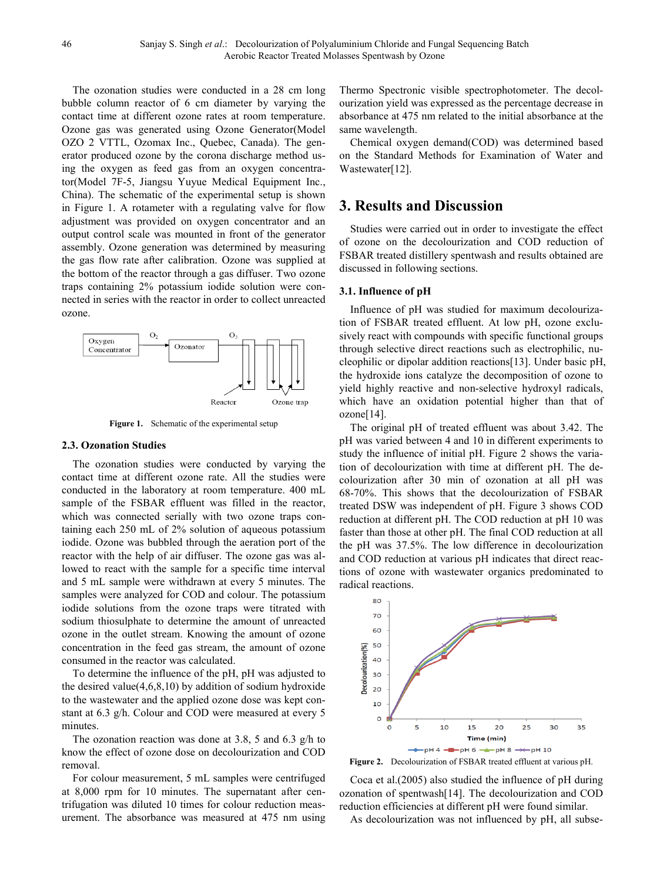The ozonation studies were conducted in a 28 cm long bubble column reactor of 6 cm diameter by varying the contact time at different ozone rates at room temperature. Ozone gas was generated using Ozone Generator(Model OZO 2 VTTL, Ozomax Inc., Quebec, Canada). The generator produced ozone by the corona discharge method using the oxygen as feed gas from an oxygen concentrator(Model 7F-5, Jiangsu Yuyue Medical Equipment Inc., China). The schematic of the experimental setup is shown in Figure 1. A rotameter with a regulating valve for flow adjustment was provided on oxygen concentrator and an output control scale was mounted in front of the generator assembly. Ozone generation was determined by measuring the gas flow rate after calibration. Ozone was supplied at the bottom of the reactor through a gas diffuser. Two ozone traps containing 2% potassium iodide solution were connected in series with the reactor in order to collect unreacted ozone.



**Figure 1.** Schematic of the experimental setup

#### **2.3. Ozonation Studies**

The ozonation studies were conducted by varying the contact time at different ozone rate. All the studies were conducted in the laboratory at room temperature. 400 mL sample of the FSBAR effluent was filled in the reactor, which was connected serially with two ozone traps containing each 250 mL of 2% solution of aqueous potassium iodide. Ozone was bubbled through the aeration port of the reactor with the help of air diffuser. The ozone gas was allowed to react with the sample for a specific time interval and 5 mL sample were withdrawn at every 5 minutes. The samples were analyzed for COD and colour. The potassium iodide solutions from the ozone traps were titrated with sodium thiosulphate to determine the amount of unreacted ozone in the outlet stream. Knowing the amount of ozone concentration in the feed gas stream, the amount of ozone consumed in the reactor was calculated.

To determine the influence of the pH, pH was adjusted to the desired value $(4,6,8,10)$  by addition of sodium hydroxide to the wastewater and the applied ozone dose was kept constant at 6.3 g/h. Colour and COD were measured at every 5 minutes.

The ozonation reaction was done at 3.8, 5 and 6.3 g/h to know the effect of ozone dose on decolourization and COD removal.

For colour measurement, 5 mL samples were centrifuged at 8,000 rpm for 10 minutes. The supernatant after centrifugation was diluted 10 times for colour reduction measurement. The absorbance was measured at 475 nm using

Thermo Spectronic visible spectrophotometer. The decolourization yield was expressed as the percentage decrease in absorbance at 475 nm related to the initial absorbance at the same wavelength.

Chemical oxygen demand(COD) was determined based on the Standard Methods for Examination of Water and Wastewater[12].

## **3. Results and Discussion**

Studies were carried out in order to investigate the effect of ozone on the decolourization and COD reduction of FSBAR treated distillery spentwash and results obtained are discussed in following sections.

### **3.1. Influence of pH**

Influence of pH was studied for maximum decolourization of FSBAR treated effluent. At low pH, ozone exclusively react with compounds with specific functional groups through selective direct reactions such as electrophilic, nucleophilic or dipolar addition reactions[13]. Under basic pH, the hydroxide ions catalyze the decomposition of ozone to yield highly reactive and non-selective hydroxyl radicals, which have an oxidation potential higher than that of ozone[14].

The original pH of treated effluent was about 3.42. The pH was varied between 4 and 10 in different experiments to study the influence of initial pH. Figure 2 shows the variation of decolourization with time at different pH. The decolourization after 30 min of ozonation at all pH was 68-70%. This shows that the decolourization of FSBAR treated DSW was independent of pH. Figure 3 shows COD reduction at different pH. The COD reduction at pH 10 was faster than those at other pH. The final COD reduction at all the pH was 37.5%. The low difference in decolourization and COD reduction at various pH indicates that direct reactions of ozone with wastewater organics predominated to radical reactions.



**Figure 2.** Decolourization of FSBAR treated effluent at various pH.

Coca et al.(2005) also studied the influence of pH during ozonation of spentwash[14]. The decolourization and COD reduction efficiencies at different pH were found similar.

As decolourization was not influenced by pH, all subse-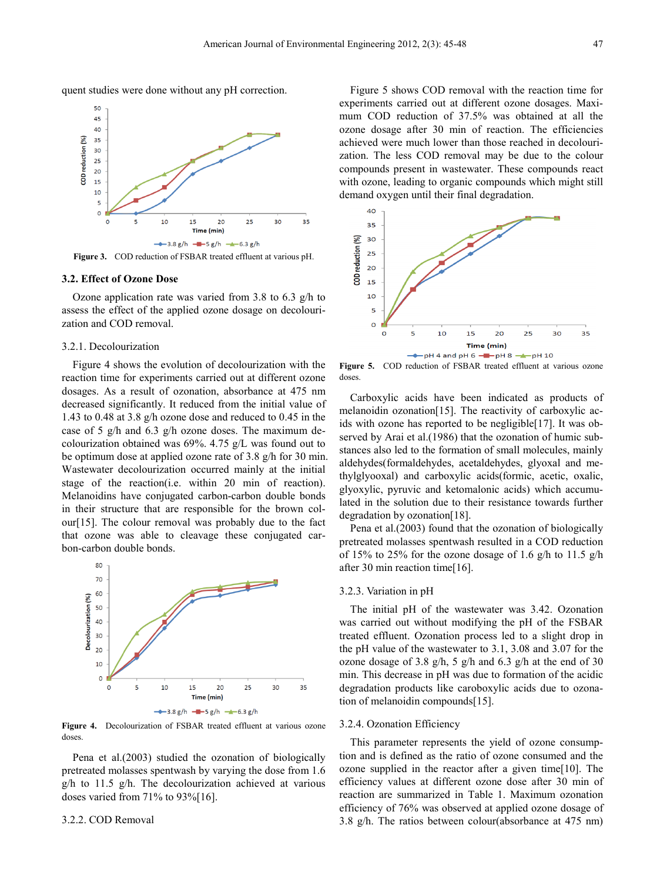quent studies were done without any pH correction.



**Figure 3.** COD reduction of FSBAR treated effluent at various pH.

#### **3.2. Effect of Ozone Dose**

Ozone application rate was varied from 3.8 to 6.3 g/h to assess the effect of the applied ozone dosage on decolourization and COD removal.

#### 3.2.1. Decolourization

Figure 4 shows the evolution of decolourization with the reaction time for experiments carried out at different ozone dosages. As a result of ozonation, absorbance at 475 nm decreased significantly. It reduced from the initial value of 1.43 to 0.48 at 3.8 g/h ozone dose and reduced to 0.45 in the case of 5 g/h and 6.3 g/h ozone doses. The maximum decolourization obtained was 69%. 4.75 g/L was found out to be optimum dose at applied ozone rate of 3.8 g/h for 30 min. Wastewater decolourization occurred mainly at the initial stage of the reaction(i.e. within 20 min of reaction). Melanoidins have conjugated carbon-carbon double bonds in their structure that are responsible for the brown colour[15]. The colour removal was probably due to the fact that ozone was able to cleavage these conjugated carbon-carbon double bonds.



**Figure 4.** Decolourization of FSBAR treated effluent at various ozone doses.

Pena et al.(2003) studied the ozonation of biologically pretreated molasses spentwash by varying the dose from 1.6  $g/h$  to 11.5 g/h. The decolourization achieved at various doses varied from 71% to 93%[16].

#### 3.2.2. COD Removal

Figure 5 shows COD removal with the reaction time for experiments carried out at different ozone dosages. Maximum COD reduction of 37.5% was obtained at all the ozone dosage after 30 min of reaction. The efficiencies achieved were much lower than those reached in decolourization. The less COD removal may be due to the colour compounds present in wastewater. These compounds react with ozone, leading to organic compounds which might still demand oxygen until their final degradation.



**Figure 5.** COD reduction of FSBAR treated effluent at various ozone doses.

Carboxylic acids have been indicated as products of melanoidin ozonation[15]. The reactivity of carboxylic acids with ozone has reported to be negligible[17]. It was observed by Arai et al.(1986) that the ozonation of humic substances also led to the formation of small molecules, mainly aldehydes(formaldehydes, acetaldehydes, glyoxal and methylglyooxal) and carboxylic acids(formic, acetic, oxalic, glyoxylic, pyruvic and ketomalonic acids) which accumulated in the solution due to their resistance towards further degradation by ozonation[18].

Pena et al.(2003) found that the ozonation of biologically pretreated molasses spentwash resulted in a COD reduction of 15% to 25% for the ozone dosage of 1.6 g/h to 11.5 g/h after 30 min reaction time[16].

#### 3.2.3. Variation in pH

The initial pH of the wastewater was 3.42. Ozonation was carried out without modifying the pH of the FSBAR treated effluent. Ozonation process led to a slight drop in the pH value of the wastewater to 3.1, 3.08 and 3.07 for the ozone dosage of 3.8 g/h, 5 g/h and 6.3 g/h at the end of 30 min. This decrease in pH was due to formation of the acidic degradation products like caroboxylic acids due to ozonation of melanoidin compounds[15].

#### 3.2.4. Ozonation Efficiency

This parameter represents the yield of ozone consumption and is defined as the ratio of ozone consumed and the ozone supplied in the reactor after a given time[10]. The efficiency values at different ozone dose after 30 min of reaction are summarized in Table 1. Maximum ozonation efficiency of 76% was observed at applied ozone dosage of 3.8 g/h. The ratios between colour(absorbance at 475 nm)